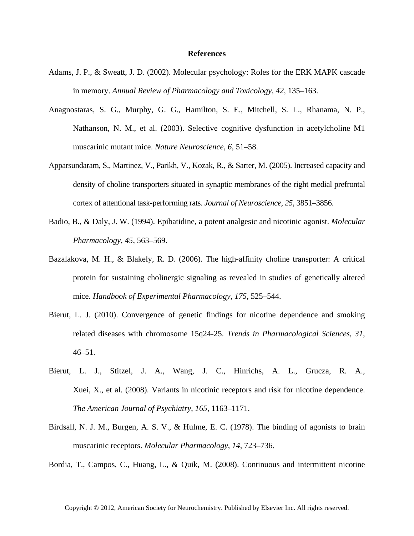## **References**

- Adams, J. P., & Sweatt, J. D. (2002). Molecular psychology: Roles for the ERK MAPK cascade in memory. *Annual Review of Pharmacology and Toxicology*, *42*, 135–163.
- Anagnostaras, S. G., Murphy, G. G., Hamilton, S. E., Mitchell, S. L., Rhanama, N. P., Nathanson, N. M., et al. (2003). Selective cognitive dysfunction in acetylcholine M1 muscarinic mutant mice. *Nature Neuroscience*, *6*, 51–58.
- Apparsundaram, S., Martinez, V., Parikh, V., Kozak, R., & Sarter, M. (2005). Increased capacity and density of choline transporters situated in synaptic membranes of the right medial prefrontal cortex of attentional task-performing rats. *Journal of Neuroscience*, *25*, 3851–3856.
- Badio, B., & Daly, J. W. (1994). Epibatidine, a potent analgesic and nicotinic agonist. *Molecular Pharmacology*, *45*, 563–569.
- Bazalakova, M. H., & Blakely, R. D. (2006). The high-affinity choline transporter: A critical protein for sustaining cholinergic signaling as revealed in studies of genetically altered mice. *Handbook of Experimental Pharmacology*, *175*, 525–544.
- Bierut, L. J. (2010). Convergence of genetic findings for nicotine dependence and smoking related diseases with chromosome 15q24-25. *Trends in Pharmacological Sciences*, *31*,  $46 - 51$ .
- Bierut, L. J., Stitzel, J. A., Wang, J. C., Hinrichs, A. L., Grucza, R. A., Xuei, X., et al. (2008). Variants in nicotinic receptors and risk for nicotine dependence. *The American Journal of Psychiatry*, *165*, 1163–1171.
- Birdsall, N. J. M., Burgen, A. S. V., & Hulme, E. C. (1978). The binding of agonists to brain muscarinic receptors. *Molecular Pharmacology*, *14*, 723–736.

Bordia, T., Campos, C., Huang, L., & Quik, M. (2008). Continuous and intermittent nicotine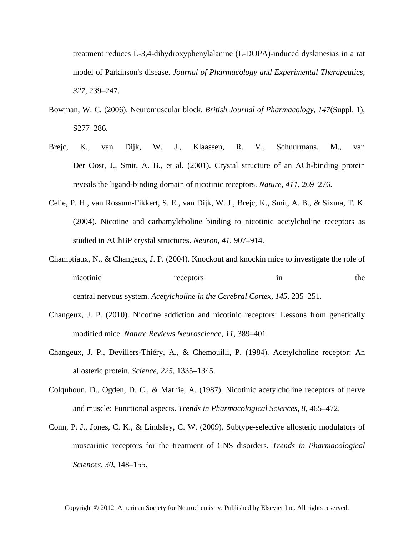treatment reduces L-3,4-dihydroxyphenylalanine (L-DOPA)-induced dyskinesias in a rat model of Parkinson's disease. *Journal of Pharmacology and Experimental Therapeutics*, *327*, 239–247.

- Bowman, W. C. (2006). Neuromuscular block. *British Journal of Pharmacology*, *147*(Suppl. 1), S277–286.
- Brejc, K., van Dijk, W. J., Klaassen, R. V., Schuurmans, M., van Der Oost, J., Smit, A. B., et al. (2001). Crystal structure of an ACh-binding protein reveals the ligand-binding domain of nicotinic receptors. *Nature*, *411*, 269–276.
- Celie, P. H., van Rossum-Fikkert, S. E., van Dijk, W. J., Brejc, K., Smit, A. B., & Sixma, T. K. (2004). Nicotine and carbamylcholine binding to nicotinic acetylcholine receptors as studied in AChBP crystal structures. *Neuron*, *41*, 907–914.
- Champtiaux, N., & Changeux, J. P. (2004). Knockout and knockin mice to investigate the role of nicotinic receptors in the central nervous system. *Acetylcholine in the Cerebral Cortex*, *145*, 235–251.
- Changeux, J. P. (2010). Nicotine addiction and nicotinic receptors: Lessons from genetically modified mice. *Nature Reviews Neuroscience*, *11*, 389–401.
- Changeux, J. P., Devillers-Thiéry, A., & Chemouilli, P. (1984). Acetylcholine receptor: An allosteric protein. *Science*, *225*, 1335–1345.
- Colquhoun, D., Ogden, D. C., & Mathie, A. (1987). Nicotinic acetylcholine receptors of nerve and muscle: Functional aspects. *Trends in Pharmacological Sciences*, *8*, 465–472.
- Conn, P. J., Jones, C. K., & Lindsley, C. W. (2009). Subtype-selective allosteric modulators of muscarinic receptors for the treatment of CNS disorders. *Trends in Pharmacological Sciences*, *30*, 148–155.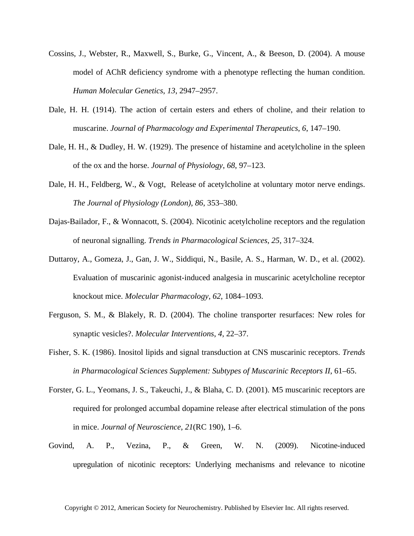- Cossins, J., Webster, R., Maxwell, S., Burke, G., Vincent, A., & Beeson, D. (2004). A mouse model of AChR deficiency syndrome with a phenotype reflecting the human condition. *Human Molecular Genetics*, *13*, 2947–2957.
- Dale, H. H. (1914). The action of certain esters and ethers of choline, and their relation to muscarine. *Journal of Pharmacology and Experimental Therapeutics*, *6*, 147–190.
- Dale, H. H., & Dudley, H. W. (1929). The presence of histamine and acetylcholine in the spleen of the ox and the horse. *Journal of Physiology*, *68*, 97–123.
- Dale, H. H., Feldberg, W., & Vogt, Release of acetylcholine at voluntary motor nerve endings. *The Journal of Physiology (London)*, *86*, 353–380.
- Dajas-Bailador, F., & Wonnacott, S. (2004). Nicotinic acetylcholine receptors and the regulation of neuronal signalling. *Trends in Pharmacological Sciences*, *25*, 317–324.
- Duttaroy, A., Gomeza, J., Gan, J. W., Siddiqui, N., Basile, A. S., Harman, W. D., et al. (2002). Evaluation of muscarinic agonist-induced analgesia in muscarinic acetylcholine receptor knockout mice. *Molecular Pharmacology*, *62*, 1084–1093.
- Ferguson, S. M., & Blakely, R. D. (2004). The choline transporter resurfaces: New roles for synaptic vesicles?. *Molecular Interventions*, *4*, 22–37.
- Fisher, S. K. (1986). Inositol lipids and signal transduction at CNS muscarinic receptors. *Trends in Pharmacological Sciences Supplement: Subtypes of Muscarinic Receptors II*, 61–65.
- Forster, G. L., Yeomans, J. S., Takeuchi, J., & Blaha, C. D. (2001). M5 muscarinic receptors are required for prolonged accumbal dopamine release after electrical stimulation of the pons in mice. *Journal of Neuroscience*, *21*(RC 190), 1–6.
- Govind, A. P., Vezina, P., & Green, W. N. (2009). Nicotine-induced upregulation of nicotinic receptors: Underlying mechanisms and relevance to nicotine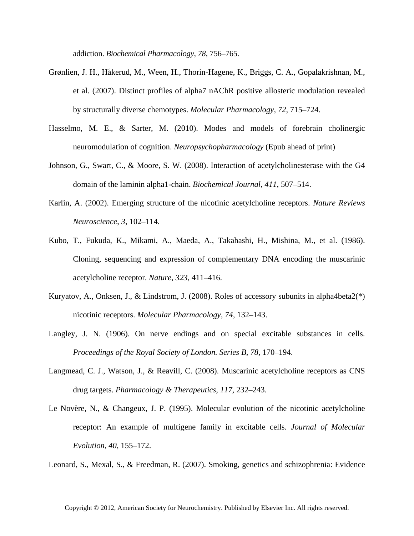addiction. *Biochemical Pharmacology*, *78*, 756–765.

- Grønlien, J. H., Håkerud, M., Ween, H., Thorin-Hagene, K., Briggs, C. A., Gopalakrishnan, M., et al. (2007). Distinct profiles of alpha7 nAChR positive allosteric modulation revealed by structurally diverse chemotypes. *Molecular Pharmacology*, *72*, 715–724.
- Hasselmo, M. E., & Sarter, M. (2010). Modes and models of forebrain cholinergic neuromodulation of cognition. *Neuropsychopharmacology* (Epub ahead of print)
- Johnson, G., Swart, C., & Moore, S. W. (2008). Interaction of acetylcholinesterase with the G4 domain of the laminin alpha1-chain. *Biochemical Journal*, *411*, 507–514.
- Karlin, A. (2002). Emerging structure of the nicotinic acetylcholine receptors. *Nature Reviews Neuroscience*, *3*, 102–114.
- Kubo, T., Fukuda, K., Mikami, A., Maeda, A., Takahashi, H., Mishina, M., et al. (1986). Cloning, sequencing and expression of complementary DNA encoding the muscarinic acetylcholine receptor. *Nature*, *323*, 411–416.
- Kuryatov, A., Onksen, J., & Lindstrom, J. (2008). Roles of accessory subunits in alpha4beta2(\*) nicotinic receptors. *Molecular Pharmacology*, *74*, 132–143.
- Langley, J. N. (1906). On nerve endings and on special excitable substances in cells. *Proceedings of the Royal Society of London. Series B*, *78*, 170–194.
- Langmead, C. J., Watson, J., & Reavill, C. (2008). Muscarinic acetylcholine receptors as CNS drug targets. *Pharmacology & Therapeutics*, *117*, 232–243.
- Le Novère, N., & Changeux, J. P. (1995). Molecular evolution of the nicotinic acetylcholine receptor: An example of multigene family in excitable cells. *Journal of Molecular Evolution*, *40*, 155–172.

Leonard, S., Mexal, S., & Freedman, R. (2007). Smoking, genetics and schizophrenia: Evidence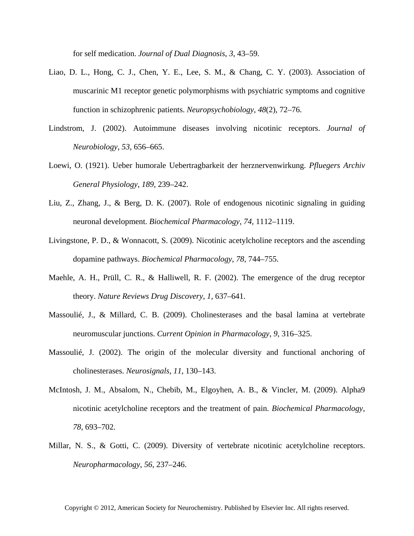for self medication. *Journal of Dual Diagnosis*, *3*, 43–59.

- Liao, D. L., Hong, C. J., Chen, Y. E., Lee, S. M., & Chang, C. Y. (2003). Association of muscarinic M1 receptor genetic polymorphisms with psychiatric symptoms and cognitive function in schizophrenic patients. *Neuropsychobiology*, *48*(2), 72–76.
- Lindstrom, J. (2002). Autoimmune diseases involving nicotinic receptors. *Journal of Neurobiology*, *53*, 656–665.
- Loewi, O. (1921). Ueber humorale Uebertragbarkeit der herznervenwirkung. *Pfluegers Archiv General Physiology*, *189*, 239–242.
- Liu, Z., Zhang, J., & Berg, D. K. (2007). Role of endogenous nicotinic signaling in guiding neuronal development. *Biochemical Pharmacology*, *74*, 1112–1119.
- Livingstone, P. D., & Wonnacott, S. (2009). Nicotinic acetylcholine receptors and the ascending dopamine pathways. *Biochemical Pharmacology*, *78*, 744–755.
- Maehle, A. H., Prüll, C. R., & Halliwell, R. F. (2002). The emergence of the drug receptor theory. *Nature Reviews Drug Discovery*, *1*, 637–641.
- Massoulié, J., & Millard, C. B. (2009). Cholinesterases and the basal lamina at vertebrate neuromuscular junctions. *Current Opinion in Pharmacology*, *9*, 316–325.
- Massoulié, J. (2002). The origin of the molecular diversity and functional anchoring of cholinesterases. *Neurosignals*, *11*, 130–143.
- McIntosh, J. M., Absalom, N., Chebib, M., Elgoyhen, A. B., & Vincler, M. (2009). Alpha9 nicotinic acetylcholine receptors and the treatment of pain. *Biochemical Pharmacology*, *78*, 693–702.
- Millar, N. S., & Gotti, C. (2009). Diversity of vertebrate nicotinic acetylcholine receptors. *Neuropharmacology*, *56*, 237–246.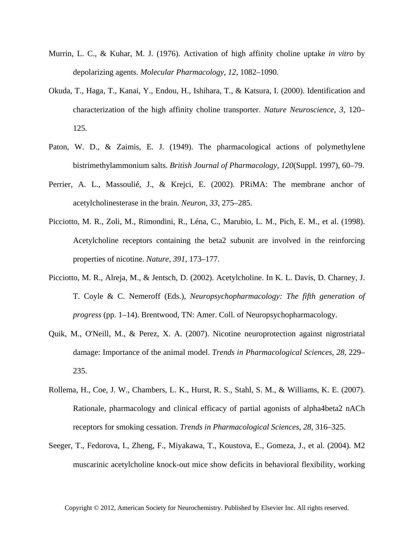- Murrin, L. C., & Kuhar, M. J. (1976). Activation of high affinity choline uptake *in vitro* by depolarizing agents. *Molecular Pharmacology*, *12*, 1082–1090.
- Okuda, T., Haga, T., Kanai, Y., Endou, H., Ishihara, T., & Katsura, I. (2000). Identification and characterization of the high affinity choline transporter. *Nature Neuroscience*, *3*, 120– 125.
- Paton, W. D., & Zaimis, E. J. (1949). The pharmacological actions of polymethylene bistrimethylammonium salts. *British Journal of Pharmacology*, *120*(Suppl. 1997), 60–79.
- Perrier, A. L., Massoulié, J., & Krejci, E. (2002). PRiMA: The membrane anchor of acetylcholinesterase in the brain. *Neuron*, *33*, 275–285.
- Picciotto, M. R., Zoli, M., Rimondini, R., Léna, C., Marubio, L. M., Pich, E. M., et al. (1998). Acetylcholine receptors containing the beta2 subunit are involved in the reinforcing properties of nicotine. *Nature*, *391*, 173–177.
- Picciotto, M. R., Alreja, M., & Jentsch, D. (2002). Acetylcholine. In K. L. Davis, D. Charney, J. T. Coyle & C. Nemeroff (Eds.), *Neuropsychopharmacology: The fifth generation of progress* (pp. 1–14). Brentwood, TN: Amer. Coll. of Neuropsychopharmacology.
- Quik, M., O'Neill, M., & Perez, X. A. (2007). Nicotine neuroprotection against nigrostriatal damage: Importance of the animal model. *Trends in Pharmacological Sciences*, *28*, 229– 235.
- Rollema, H., Coe, J. W., Chambers, L. K., Hurst, R. S., Stahl, S. M., & Williams, K. E. (2007). Rationale, pharmacology and clinical efficacy of partial agonists of alpha4beta2 nACh receptors for smoking cessation. *Trends in Pharmacological Sciences*, *28*, 316–325.
- Seeger, T., Fedorova, I., Zheng, F., Miyakawa, T., Koustova, E., Gomeza, J., et al. (2004). M2 muscarinic acetylcholine knock-out mice show deficits in behavioral flexibility, working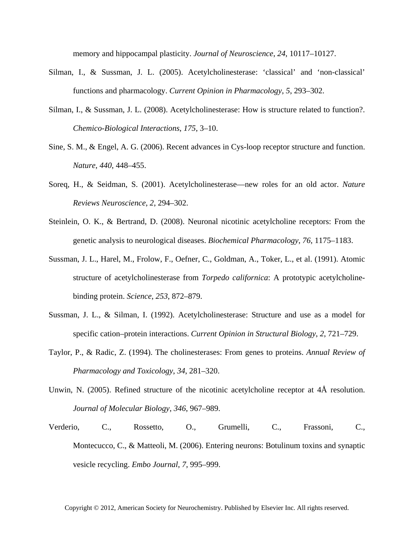memory and hippocampal plasticity. *Journal of Neuroscience*, *24*, 10117–10127.

- Silman, I., & Sussman, J. L. (2005). Acetylcholinesterase: 'classical' and 'non-classical' functions and pharmacology. *Current Opinion in Pharmacology*, *5*, 293–302.
- Silman, I., & Sussman, J. L. (2008). Acetylcholinesterase: How is structure related to function?. *Chemico-Biological Interactions*, *175*, 3–10.
- Sine, S. M., & Engel, A. G. (2006). Recent advances in Cys-loop receptor structure and function. *Nature*, *440*, 448–455.
- Soreq, H., & Seidman, S. (2001). Acetylcholinesterase—new roles for an old actor. *Nature Reviews Neuroscience*, *2*, 294–302.
- Steinlein, O. K., & Bertrand, D. (2008). Neuronal nicotinic acetylcholine receptors: From the genetic analysis to neurological diseases. *Biochemical Pharmacology*, *76*, 1175–1183.
- Sussman, J. L., Harel, M., Frolow, F., Oefner, C., Goldman, A., Toker, L., et al. (1991). Atomic structure of acetylcholinesterase from *Torpedo californica*: A prototypic acetylcholinebinding protein. *Science*, *253*, 872–879.
- Sussman, J. L., & Silman, I. (1992). Acetylcholinesterase: Structure and use as a model for specific cation–protein interactions. *Current Opinion in Structural Biology*, *2*, 721–729.
- Taylor, P., & Radic, Z. (1994). The cholinesterases: From genes to proteins. *Annual Review of Pharmacology and Toxicology*, *34*, 281–320.
- Unwin, N. (2005). Refined structure of the nicotinic acetylcholine receptor at 4Å resolution. *Journal of Molecular Biology*, *346*, 967–989.
- Verderio, C., Rossetto, O., Grumelli, C., Frassoni, C., Montecucco, C., & Matteoli, M. (2006). Entering neurons: Botulinum toxins and synaptic vesicle recycling. *Embo Journal*, *7*, 995–999.